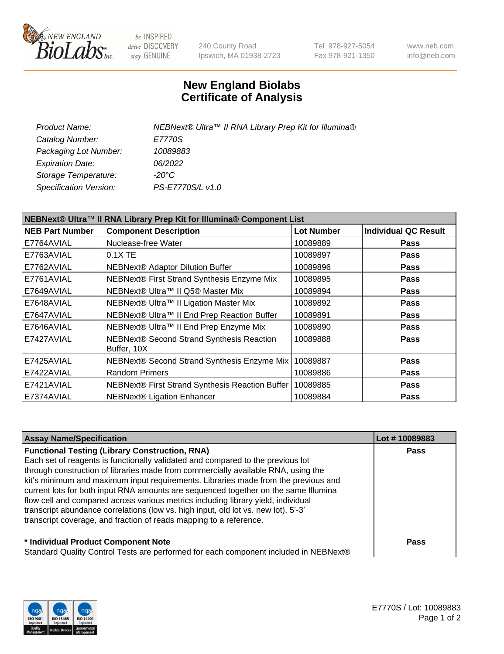

be INSPIRED drive DISCOVERY stay GENUINE

240 County Road Ipswich, MA 01938-2723 Tel 978-927-5054 Fax 978-921-1350 www.neb.com info@neb.com

## **New England Biolabs Certificate of Analysis**

| NEBNext® Ultra™ II RNA Library Prep Kit for Illumina® |
|-------------------------------------------------------|
| E7770S                                                |
| 10089883                                              |
| 06/2022                                               |
| $-20^{\circ}$ C                                       |
| PS-E7770S/L v1.0                                      |
|                                                       |

| NEBNext® Ultra™ II RNA Library Prep Kit for Illumina® Component List |                                                            |                   |                             |  |
|----------------------------------------------------------------------|------------------------------------------------------------|-------------------|-----------------------------|--|
| <b>NEB Part Number</b>                                               | <b>Component Description</b>                               | <b>Lot Number</b> | <b>Individual QC Result</b> |  |
| E7764AVIAL                                                           | Nuclease-free Water                                        | 10089889          | <b>Pass</b>                 |  |
| E7763AVIAL                                                           | $0.1X$ TE                                                  | 10089897          | <b>Pass</b>                 |  |
| E7762AVIAL                                                           | <b>NEBNext® Adaptor Dilution Buffer</b>                    | 10089896          | <b>Pass</b>                 |  |
| E7761AVIAL                                                           | NEBNext® First Strand Synthesis Enzyme Mix                 | 10089895          | <b>Pass</b>                 |  |
| E7649AVIAL                                                           | NEBNext® Ultra™ II Q5® Master Mix                          | 10089894          | <b>Pass</b>                 |  |
| E7648AVIAL                                                           | NEBNext® Ultra™ II Ligation Master Mix                     | 10089892          | <b>Pass</b>                 |  |
| E7647AVIAL                                                           | NEBNext® Ultra™ II End Prep Reaction Buffer                | 10089891          | <b>Pass</b>                 |  |
| E7646AVIAL                                                           | NEBNext® Ultra™ II End Prep Enzyme Mix                     | 10089890          | <b>Pass</b>                 |  |
| E7427AVIAL                                                           | NEBNext® Second Strand Synthesis Reaction<br>Buffer, 10X   | 10089888          | <b>Pass</b>                 |  |
| E7425AVIAL                                                           | NEBNext® Second Strand Synthesis Enzyme Mix                | 10089887          | <b>Pass</b>                 |  |
| E7422AVIAL                                                           | <b>Random Primers</b>                                      | 10089886          | <b>Pass</b>                 |  |
| E7421AVIAL                                                           | NEBNext® First Strand Synthesis Reaction Buffer   10089885 |                   | <b>Pass</b>                 |  |
| E7374AVIAL                                                           | NEBNext® Ligation Enhancer                                 | 10089884          | <b>Pass</b>                 |  |

| <b>Assay Name/Specification</b>                                                      | Lot #10089883 |
|--------------------------------------------------------------------------------------|---------------|
| <b>Functional Testing (Library Construction, RNA)</b>                                | <b>Pass</b>   |
| Each set of reagents is functionally validated and compared to the previous lot      |               |
| through construction of libraries made from commercially available RNA, using the    |               |
| kit's minimum and maximum input requirements. Libraries made from the previous and   |               |
| current lots for both input RNA amounts are sequenced together on the same Illumina  |               |
| flow cell and compared across various metrics including library yield, individual    |               |
| transcript abundance correlations (low vs. high input, old lot vs. new lot), 5'-3'   |               |
| transcript coverage, and fraction of reads mapping to a reference.                   |               |
| * Individual Product Component Note                                                  | <b>Pass</b>   |
| Standard Quality Control Tests are performed for each component included in NEBNext® |               |